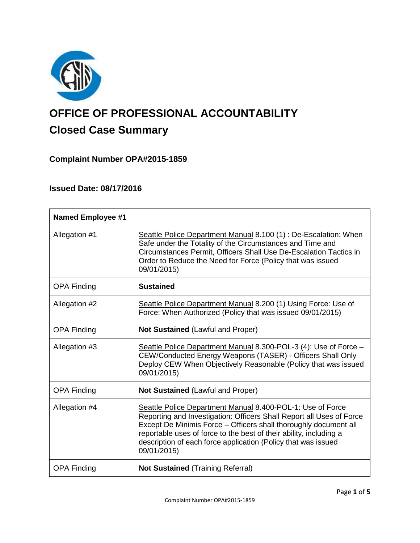

# **OFFICE OF PROFESSIONAL ACCOUNTABILITY Closed Case Summary**

# **Complaint Number OPA#2015-1859**

## **Issued Date: 08/17/2016**

| <b>Named Employee #1</b> |                                                                                                                                                                                                                                                                                                                                                              |
|--------------------------|--------------------------------------------------------------------------------------------------------------------------------------------------------------------------------------------------------------------------------------------------------------------------------------------------------------------------------------------------------------|
| Allegation #1            | Seattle Police Department Manual 8.100 (1) : De-Escalation: When<br>Safe under the Totality of the Circumstances and Time and<br>Circumstances Permit, Officers Shall Use De-Escalation Tactics in<br>Order to Reduce the Need for Force (Policy that was issued<br>09/01/2015)                                                                              |
| <b>OPA Finding</b>       | <b>Sustained</b>                                                                                                                                                                                                                                                                                                                                             |
| Allegation #2            | Seattle Police Department Manual 8.200 (1) Using Force: Use of<br>Force: When Authorized (Policy that was issued 09/01/2015)                                                                                                                                                                                                                                 |
| <b>OPA Finding</b>       | <b>Not Sustained (Lawful and Proper)</b>                                                                                                                                                                                                                                                                                                                     |
| Allegation #3            | Seattle Police Department Manual 8.300-POL-3 (4): Use of Force -<br>CEW/Conducted Energy Weapons (TASER) - Officers Shall Only<br>Deploy CEW When Objectively Reasonable (Policy that was issued<br>09/01/2015)                                                                                                                                              |
| <b>OPA Finding</b>       | Not Sustained (Lawful and Proper)                                                                                                                                                                                                                                                                                                                            |
| Allegation #4            | Seattle Police Department Manual 8.400-POL-1: Use of Force<br>Reporting and Investigation: Officers Shall Report all Uses of Force<br>Except De Minimis Force - Officers shall thoroughly document all<br>reportable uses of force to the best of their ability, including a<br>description of each force application (Policy that was issued<br>09/01/2015) |
| <b>OPA Finding</b>       | <b>Not Sustained (Training Referral)</b>                                                                                                                                                                                                                                                                                                                     |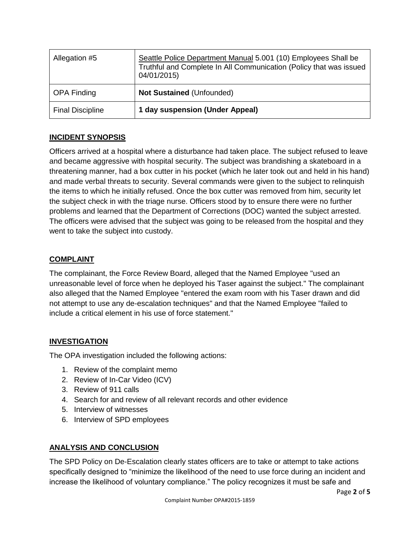| Allegation #5           | Seattle Police Department Manual 5.001 (10) Employees Shall be<br>Truthful and Complete In All Communication (Policy that was issued<br>04/01/2015) |
|-------------------------|-----------------------------------------------------------------------------------------------------------------------------------------------------|
| <b>OPA Finding</b>      | <b>Not Sustained (Unfounded)</b>                                                                                                                    |
| <b>Final Discipline</b> | 1 day suspension (Under Appeal)                                                                                                                     |

## **INCIDENT SYNOPSIS**

Officers arrived at a hospital where a disturbance had taken place. The subject refused to leave and became aggressive with hospital security. The subject was brandishing a skateboard in a threatening manner, had a box cutter in his pocket (which he later took out and held in his hand) and made verbal threats to security. Several commands were given to the subject to relinquish the items to which he initially refused. Once the box cutter was removed from him, security let the subject check in with the triage nurse. Officers stood by to ensure there were no further problems and learned that the Department of Corrections (DOC) wanted the subject arrested. The officers were advised that the subject was going to be released from the hospital and they went to take the subject into custody.

## **COMPLAINT**

The complainant, the Force Review Board, alleged that the Named Employee "used an unreasonable level of force when he deployed his Taser against the subject." The complainant also alleged that the Named Employee "entered the exam room with his Taser drawn and did not attempt to use any de-escalation techniques" and that the Named Employee "failed to include a critical element in his use of force statement."

## **INVESTIGATION**

The OPA investigation included the following actions:

- 1. Review of the complaint memo
- 2. Review of In-Car Video (ICV)
- 3. Review of 911 calls
- 4. Search for and review of all relevant records and other evidence
- 5. Interview of witnesses
- 6. Interview of SPD employees

## **ANALYSIS AND CONCLUSION**

The SPD Policy on De-Escalation clearly states officers are to take or attempt to take actions specifically designed to "minimize the likelihood of the need to use force during an incident and increase the likelihood of voluntary compliance." The policy recognizes it must be safe and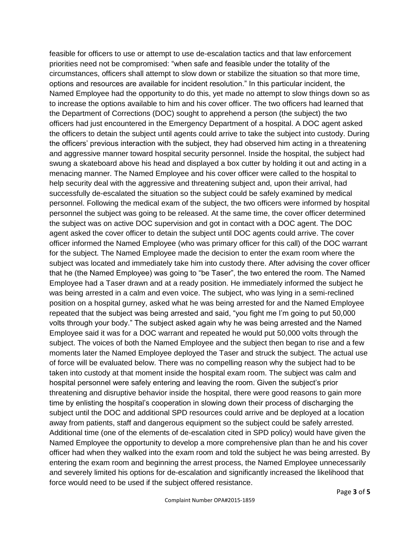feasible for officers to use or attempt to use de-escalation tactics and that law enforcement priorities need not be compromised: "when safe and feasible under the totality of the circumstances, officers shall attempt to slow down or stabilize the situation so that more time, options and resources are available for incident resolution." In this particular incident, the Named Employee had the opportunity to do this, yet made no attempt to slow things down so as to increase the options available to him and his cover officer. The two officers had learned that the Department of Corrections (DOC) sought to apprehend a person (the subject) the two officers had just encountered in the Emergency Department of a hospital. A DOC agent asked the officers to detain the subject until agents could arrive to take the subject into custody. During the officers' previous interaction with the subject, they had observed him acting in a threatening and aggressive manner toward hospital security personnel. Inside the hospital, the subject had swung a skateboard above his head and displayed a box cutter by holding it out and acting in a menacing manner. The Named Employee and his cover officer were called to the hospital to help security deal with the aggressive and threatening subject and, upon their arrival, had successfully de-escalated the situation so the subject could be safely examined by medical personnel. Following the medical exam of the subject, the two officers were informed by hospital personnel the subject was going to be released. At the same time, the cover officer determined the subject was on active DOC supervision and got in contact with a DOC agent. The DOC agent asked the cover officer to detain the subject until DOC agents could arrive. The cover officer informed the Named Employee (who was primary officer for this call) of the DOC warrant for the subject. The Named Employee made the decision to enter the exam room where the subject was located and immediately take him into custody there. After advising the cover officer that he (the Named Employee) was going to "be Taser", the two entered the room. The Named Employee had a Taser drawn and at a ready position. He immediately informed the subject he was being arrested in a calm and even voice. The subject, who was lying in a semi-reclined position on a hospital gurney, asked what he was being arrested for and the Named Employee repeated that the subject was being arrested and said, "you fight me I'm going to put 50,000 volts through your body." The subject asked again why he was being arrested and the Named Employee said it was for a DOC warrant and repeated he would put 50,000 volts through the subject. The voices of both the Named Employee and the subject then began to rise and a few moments later the Named Employee deployed the Taser and struck the subject. The actual use of force will be evaluated below. There was no compelling reason why the subject had to be taken into custody at that moment inside the hospital exam room. The subject was calm and hospital personnel were safely entering and leaving the room. Given the subject's prior threatening and disruptive behavior inside the hospital, there were good reasons to gain more time by enlisting the hospital's cooperation in slowing down their process of discharging the subject until the DOC and additional SPD resources could arrive and be deployed at a location away from patients, staff and dangerous equipment so the subject could be safely arrested. Additional time (one of the elements of de-escalation cited in SPD policy) would have given the Named Employee the opportunity to develop a more comprehensive plan than he and his cover officer had when they walked into the exam room and told the subject he was being arrested. By entering the exam room and beginning the arrest process, the Named Employee unnecessarily and severely limited his options for de-escalation and significantly increased the likelihood that force would need to be used if the subject offered resistance.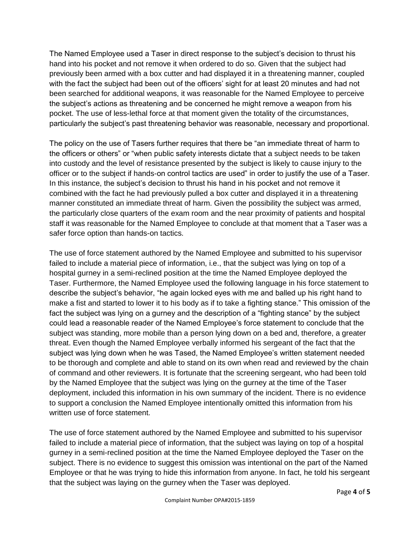The Named Employee used a Taser in direct response to the subject's decision to thrust his hand into his pocket and not remove it when ordered to do so. Given that the subject had previously been armed with a box cutter and had displayed it in a threatening manner, coupled with the fact the subject had been out of the officers' sight for at least 20 minutes and had not been searched for additional weapons, it was reasonable for the Named Employee to perceive the subject's actions as threatening and be concerned he might remove a weapon from his pocket. The use of less-lethal force at that moment given the totality of the circumstances, particularly the subject's past threatening behavior was reasonable, necessary and proportional.

The policy on the use of Tasers further requires that there be "an immediate threat of harm to the officers or others" or "when public safety interests dictate that a subject needs to be taken into custody and the level of resistance presented by the subject is likely to cause injury to the officer or to the subject if hands-on control tactics are used" in order to justify the use of a Taser. In this instance, the subject's decision to thrust his hand in his pocket and not remove it combined with the fact he had previously pulled a box cutter and displayed it in a threatening manner constituted an immediate threat of harm. Given the possibility the subject was armed, the particularly close quarters of the exam room and the near proximity of patients and hospital staff it was reasonable for the Named Employee to conclude at that moment that a Taser was a safer force option than hands-on tactics.

The use of force statement authored by the Named Employee and submitted to his supervisor failed to include a material piece of information, i.e., that the subject was lying on top of a hospital gurney in a semi-reclined position at the time the Named Employee deployed the Taser. Furthermore, the Named Employee used the following language in his force statement to describe the subject's behavior, "he again locked eyes with me and balled up his right hand to make a fist and started to lower it to his body as if to take a fighting stance." This omission of the fact the subject was lying on a gurney and the description of a "fighting stance" by the subject could lead a reasonable reader of the Named Employee's force statement to conclude that the subject was standing, more mobile than a person lying down on a bed and, therefore, a greater threat. Even though the Named Employee verbally informed his sergeant of the fact that the subject was lying down when he was Tased, the Named Employee's written statement needed to be thorough and complete and able to stand on its own when read and reviewed by the chain of command and other reviewers. It is fortunate that the screening sergeant, who had been told by the Named Employee that the subject was lying on the gurney at the time of the Taser deployment, included this information in his own summary of the incident. There is no evidence to support a conclusion the Named Employee intentionally omitted this information from his written use of force statement.

The use of force statement authored by the Named Employee and submitted to his supervisor failed to include a material piece of information, that the subject was laying on top of a hospital gurney in a semi-reclined position at the time the Named Employee deployed the Taser on the subject. There is no evidence to suggest this omission was intentional on the part of the Named Employee or that he was trying to hide this information from anyone. In fact, he told his sergeant that the subject was laying on the gurney when the Taser was deployed.